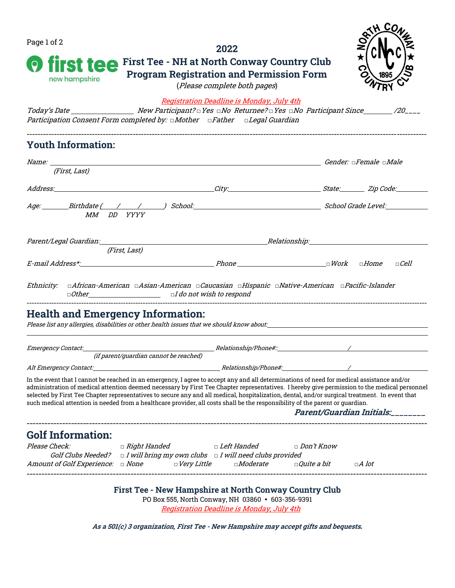| Page 1 of 2                                                                                                                                                                                                                                                                                                                                                                                                                                                                                                                                                                  |                                                                                                                | 2022                                                                                           |                                         | <b>CO</b>                            |  |  |  |  |
|------------------------------------------------------------------------------------------------------------------------------------------------------------------------------------------------------------------------------------------------------------------------------------------------------------------------------------------------------------------------------------------------------------------------------------------------------------------------------------------------------------------------------------------------------------------------------|----------------------------------------------------------------------------------------------------------------|------------------------------------------------------------------------------------------------|-----------------------------------------|--------------------------------------|--|--|--|--|
| <b>First Tee - NH at North Conway Country Club</b><br><b>st tee</b><br><b>Program Registration and Permission Form</b><br>new hampshire<br>(Please complete both pages)                                                                                                                                                                                                                                                                                                                                                                                                      |                                                                                                                |                                                                                                |                                         |                                      |  |  |  |  |
| Participation Consent Form completed by: $\Box$ Mother $\Box$ Father $\Box$ Legal Guardian                                                                                                                                                                                                                                                                                                                                                                                                                                                                                   |                                                                                                                | <b>Registration Deadline is Monday, July 4th</b>                                               |                                         |                                      |  |  |  |  |
| <b>Youth Information:</b>                                                                                                                                                                                                                                                                                                                                                                                                                                                                                                                                                    |                                                                                                                |                                                                                                |                                         |                                      |  |  |  |  |
| <i>Name:</i> where the contract of the contract of the contract of the contract of the contract of the contract of the contract of the contract of the contract of the contract of the contract of the contract of the contract of                                                                                                                                                                                                                                                                                                                                           | <b>Cender:</b> a Female a Male                                                                                 |                                                                                                |                                         |                                      |  |  |  |  |
| (First, Last)                                                                                                                                                                                                                                                                                                                                                                                                                                                                                                                                                                |                                                                                                                |                                                                                                |                                         |                                      |  |  |  |  |
| Address: Zip Code: 21 No. 21 No. 21 No. 21 No. 21 No. 21 No. 21 No. 21 No. 21 No. 21 No. 21 No. 21 No. 21 No. 21 No. 21 No. 21 No. 21 No. 21 No. 21 No. 21 No. 21 No. 21 No. 21 No. 21 No. 21 No. 21 No. 21 No. 21 No. 21 No.                                                                                                                                                                                                                                                                                                                                                |                                                                                                                |                                                                                                |                                         |                                      |  |  |  |  |
| MM DD YYYY                                                                                                                                                                                                                                                                                                                                                                                                                                                                                                                                                                   |                                                                                                                |                                                                                                |                                         |                                      |  |  |  |  |
| Parent/Legal Guardian:                                                                                                                                                                                                                                                                                                                                                                                                                                                                                                                                                       |                                                                                                                |                                                                                                |                                         |                                      |  |  |  |  |
|                                                                                                                                                                                                                                                                                                                                                                                                                                                                                                                                                                              | (First, Last)                                                                                                  |                                                                                                |                                         |                                      |  |  |  |  |
|                                                                                                                                                                                                                                                                                                                                                                                                                                                                                                                                                                              |                                                                                                                |                                                                                                |                                         | $\Box$ Cell                          |  |  |  |  |
| Ethnicity: □African-American □Asian-American □Caucasian □Hispanic □Native-American □Pacific-Islander<br><b>Health and Emergency Information:</b><br>Please list any allergies, disabilities or other health issues that we should know about: www.community.com/www                                                                                                                                                                                                                                                                                                          |                                                                                                                |                                                                                                |                                         |                                      |  |  |  |  |
| Emergency Contact:                                                                                                                                                                                                                                                                                                                                                                                                                                                                                                                                                           | (if parent/guardian cannot be reached)                                                                         |                                                                                                |                                         |                                      |  |  |  |  |
| Alt Emergency Contact:                                                                                                                                                                                                                                                                                                                                                                                                                                                                                                                                                       |                                                                                                                | <i>Relationship/Phone#:</i>                                                                    |                                         |                                      |  |  |  |  |
| In the event that I cannot be reached in an emergency, I agree to accept any and all determinations of need for medical assistance and/or<br>administration of medical attention deemed necessary by First Tee Chapter representatives. I hereby give permission to the medical personnel<br>selected by First Tee Chapter representatives to secure any and all medical, hospitalization, dental, and/or surgical treatment. In event that<br>such medical attention is needed from a healthcare provider, all costs shall be the responsibility of the parent or guardian. |                                                                                                                |                                                                                                |                                         | <i>Parent/Guardian Initials:____</i> |  |  |  |  |
| <b>Golf Information:</b>                                                                                                                                                                                                                                                                                                                                                                                                                                                                                                                                                     |                                                                                                                |                                                                                                |                                         |                                      |  |  |  |  |
| Please Check:<br>Amount of Golf Experience: a None and Dery Little                                                                                                                                                                                                                                                                                                                                                                                                                                                                                                           | □ <i>Right Handed</i><br>Golf Clubs Needed? $\Box$ I will bring my own clubs $\Box$ I will need clubs provided | □ Left Handed<br>$\Box$ Moderate                                                               | $\Box$ Don't Know<br>$\Box$ Quite a bit | $\Box A$ lot                         |  |  |  |  |
|                                                                                                                                                                                                                                                                                                                                                                                                                                                                                                                                                                              | <b>First Tee - New Hampshire at North Conway Country Club</b>                                                  | PO Box 555, North Conway, NH 03860 • 603-356-9391<br>Registration Deadline is Monday, July 4th |                                         |                                      |  |  |  |  |
|                                                                                                                                                                                                                                                                                                                                                                                                                                                                                                                                                                              | As a 501(c) 3 organization, First Tee - New Hampshire may accept gifts and bequests.                           |                                                                                                |                                         |                                      |  |  |  |  |